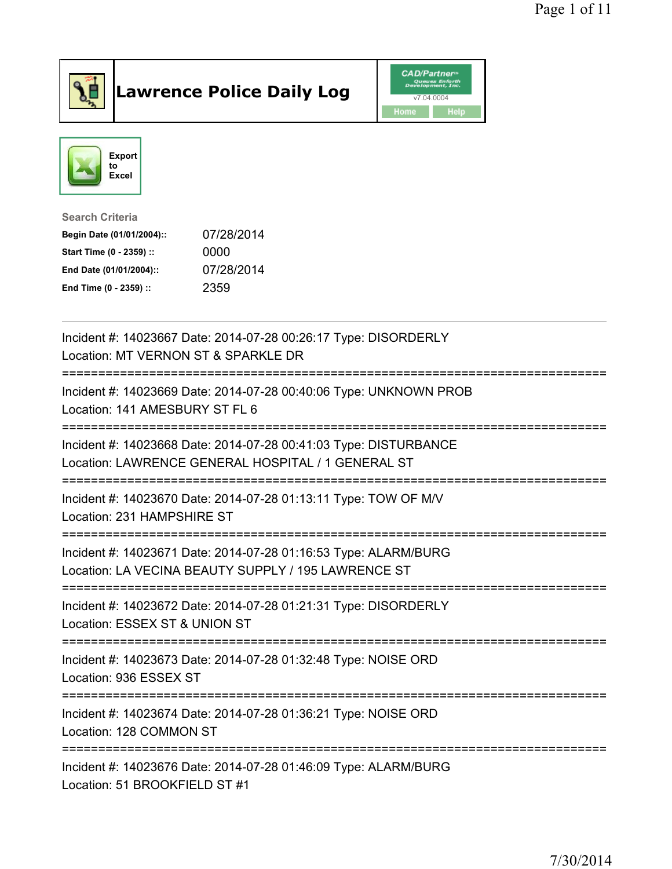

## Lawrence Police Daily Log **Daniel CAD/Partner**





Search Criteria Begin Date (01/01/2004):: 07/28/2014 Start Time (0 - 2359) :: 0000 End Date (01/01/2004):: 07/28/2014 End Time (0 - 2359) :: 2359

| Incident #: 14023667 Date: 2014-07-28 00:26:17 Type: DISORDERLY<br>Location: MT VERNON ST & SPARKLE DR                                                |
|-------------------------------------------------------------------------------------------------------------------------------------------------------|
| Incident #: 14023669 Date: 2014-07-28 00:40:06 Type: UNKNOWN PROB<br>Location: 141 AMESBURY ST FL 6                                                   |
| Incident #: 14023668 Date: 2014-07-28 00:41:03 Type: DISTURBANCE<br>Location: LAWRENCE GENERAL HOSPITAL / 1 GENERAL ST<br>=========================== |
| Incident #: 14023670 Date: 2014-07-28 01:13:11 Type: TOW OF M/V<br>Location: 231 HAMPSHIRE ST                                                         |
| Incident #: 14023671 Date: 2014-07-28 01:16:53 Type: ALARM/BURG<br>Location: LA VECINA BEAUTY SUPPLY / 195 LAWRENCE ST                                |
| Incident #: 14023672 Date: 2014-07-28 01:21:31 Type: DISORDERLY<br>Location: ESSEX ST & UNION ST<br>.-----------------------------------              |
| Incident #: 14023673 Date: 2014-07-28 01:32:48 Type: NOISE ORD<br>Location: 936 ESSEX ST                                                              |
| Incident #: 14023674 Date: 2014-07-28 01:36:21 Type: NOISE ORD<br>Location: 128 COMMON ST                                                             |
| Incident #: 14023676 Date: 2014-07-28 01:46:09 Type: ALARM/BURG<br>Location: 51 BROOKFIELD ST #1                                                      |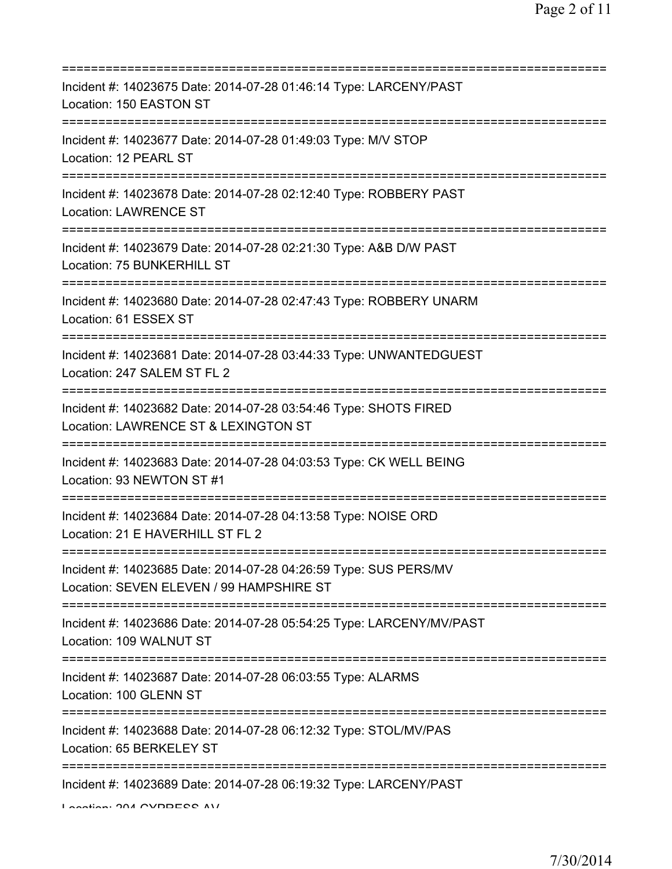| Incident #: 14023675 Date: 2014-07-28 01:46:14 Type: LARCENY/PAST<br>Location: 150 EASTON ST                                            |
|-----------------------------------------------------------------------------------------------------------------------------------------|
| Incident #: 14023677 Date: 2014-07-28 01:49:03 Type: M/V STOP<br>Location: 12 PEARL ST                                                  |
| Incident #: 14023678 Date: 2014-07-28 02:12:40 Type: ROBBERY PAST<br><b>Location: LAWRENCE ST</b>                                       |
| Incident #: 14023679 Date: 2014-07-28 02:21:30 Type: A&B D/W PAST<br>Location: 75 BUNKERHILL ST                                         |
| ============<br>Incident #: 14023680 Date: 2014-07-28 02:47:43 Type: ROBBERY UNARM<br>Location: 61 ESSEX ST                             |
| :=================================<br>Incident #: 14023681 Date: 2014-07-28 03:44:33 Type: UNWANTEDGUEST<br>Location: 247 SALEM ST FL 2 |
| Incident #: 14023682 Date: 2014-07-28 03:54:46 Type: SHOTS FIRED<br>Location: LAWRENCE ST & LEXINGTON ST                                |
| Incident #: 14023683 Date: 2014-07-28 04:03:53 Type: CK WELL BEING<br>Location: 93 NEWTON ST #1                                         |
| Incident #: 14023684 Date: 2014-07-28 04:13:58 Type: NOISE ORD<br>Location: 21 E HAVERHILL ST FL 2                                      |
| Incident #: 14023685 Date: 2014-07-28 04:26:59 Type: SUS PERS/MV<br>Location: SEVEN ELEVEN / 99 HAMPSHIRE ST                            |
| ------------------------------------<br>Incident #: 14023686 Date: 2014-07-28 05:54:25 Type: LARCENY/MV/PAST<br>Location: 109 WALNUT ST |
| Incident #: 14023687 Date: 2014-07-28 06:03:55 Type: ALARMS<br>Location: 100 GLENN ST                                                   |
| Incident #: 14023688 Date: 2014-07-28 06:12:32 Type: STOL/MV/PAS<br>Location: 65 BERKELEY ST                                            |
| Incident #: 14023689 Date: 2014-07-28 06:19:32 Type: LARCENY/PAST<br>Lootion: 004 CVDDECC AU                                            |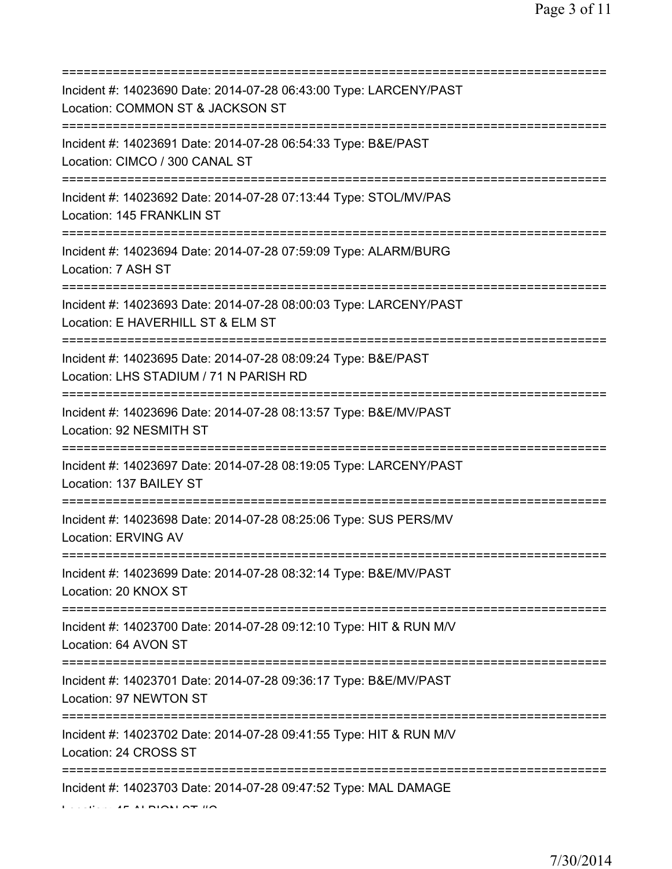| Incident #: 14023690 Date: 2014-07-28 06:43:00 Type: LARCENY/PAST<br>Location: COMMON ST & JACKSON ST<br>========================      |
|----------------------------------------------------------------------------------------------------------------------------------------|
| Incident #: 14023691 Date: 2014-07-28 06:54:33 Type: B&E/PAST<br>Location: CIMCO / 300 CANAL ST<br>========================            |
| Incident #: 14023692 Date: 2014-07-28 07:13:44 Type: STOL/MV/PAS<br>Location: 145 FRANKLIN ST<br>===================================== |
| Incident #: 14023694 Date: 2014-07-28 07:59:09 Type: ALARM/BURG<br>Location: 7 ASH ST<br>===============================               |
| Incident #: 14023693 Date: 2014-07-28 08:00:03 Type: LARCENY/PAST<br>Location: E HAVERHILL ST & ELM ST<br>======================       |
| Incident #: 14023695 Date: 2014-07-28 08:09:24 Type: B&E/PAST<br>Location: LHS STADIUM / 71 N PARISH RD                                |
| Incident #: 14023696 Date: 2014-07-28 08:13:57 Type: B&E/MV/PAST<br>Location: 92 NESMITH ST                                            |
| Incident #: 14023697 Date: 2014-07-28 08:19:05 Type: LARCENY/PAST<br>Location: 137 BAILEY ST                                           |
| Incident #: 14023698 Date: 2014-07-28 08:25:06 Type: SUS PERS/MV<br><b>Location: ERVING AV</b>                                         |
| Incident #: 14023699 Date: 2014-07-28 08:32:14 Type: B&E/MV/PAST<br>Location: 20 KNOX ST                                               |
| Incident #: 14023700 Date: 2014-07-28 09:12:10 Type: HIT & RUN M/V<br>Location: 64 AVON ST                                             |
| Incident #: 14023701 Date: 2014-07-28 09:36:17 Type: B&E/MV/PAST<br>Location: 97 NEWTON ST                                             |
| Incident #: 14023702 Date: 2014-07-28 09:41:55 Type: HIT & RUN M/V<br>Location: 24 CROSS ST                                            |
| Incident #: 14023703 Date: 2014-07-28 09:47:52 Type: MAL DAMAGE                                                                        |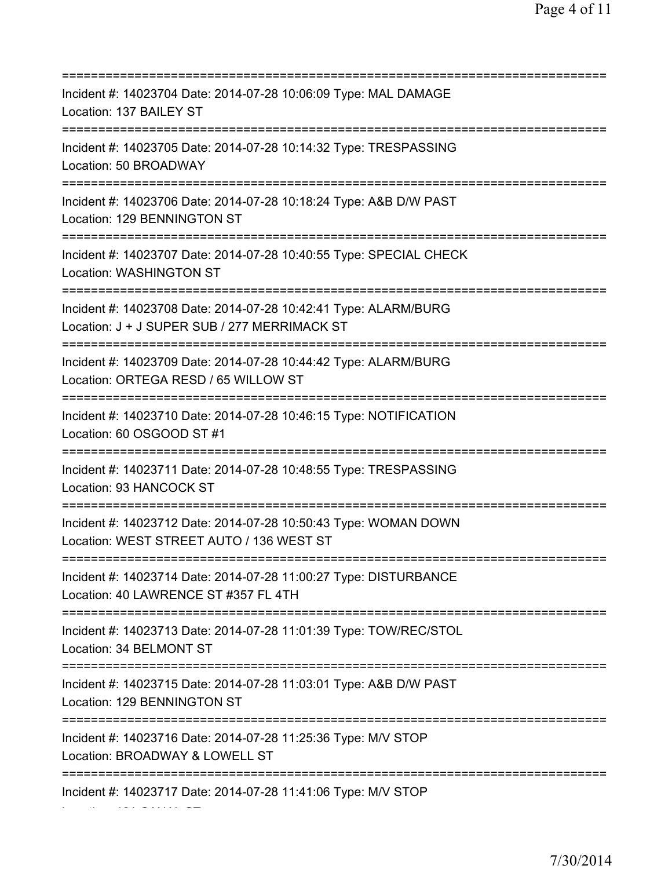| Incident #: 14023704 Date: 2014-07-28 10:06:09 Type: MAL DAMAGE<br>Location: 137 BAILEY ST                                                       |
|--------------------------------------------------------------------------------------------------------------------------------------------------|
| Incident #: 14023705 Date: 2014-07-28 10:14:32 Type: TRESPASSING<br>Location: 50 BROADWAY                                                        |
| Incident #: 14023706 Date: 2014-07-28 10:18:24 Type: A&B D/W PAST<br>Location: 129 BENNINGTON ST<br>:=================                           |
| Incident #: 14023707 Date: 2014-07-28 10:40:55 Type: SPECIAL CHECK<br>Location: WASHINGTON ST                                                    |
| Incident #: 14023708 Date: 2014-07-28 10:42:41 Type: ALARM/BURG<br>Location: J + J SUPER SUB / 277 MERRIMACK ST                                  |
| Incident #: 14023709 Date: 2014-07-28 10:44:42 Type: ALARM/BURG<br>Location: ORTEGA RESD / 65 WILLOW ST                                          |
| Incident #: 14023710 Date: 2014-07-28 10:46:15 Type: NOTIFICATION<br>Location: 60 OSGOOD ST #1                                                   |
| Incident #: 14023711 Date: 2014-07-28 10:48:55 Type: TRESPASSING<br>Location: 93 HANCOCK ST                                                      |
| Incident #: 14023712 Date: 2014-07-28 10:50:43 Type: WOMAN DOWN<br>Location: WEST STREET AUTO / 136 WEST ST                                      |
| Incident #: 14023714 Date: 2014-07-28 11:00:27 Type: DISTURBANCE<br>Location: 40 LAWRENCE ST #357 FL 4TH<br>==================================== |
| Incident #: 14023713 Date: 2014-07-28 11:01:39 Type: TOW/REC/STOL<br>Location: 34 BELMONT ST<br>=====================================            |
| Incident #: 14023715 Date: 2014-07-28 11:03:01 Type: A&B D/W PAST<br>Location: 129 BENNINGTON ST                                                 |
| Incident #: 14023716 Date: 2014-07-28 11:25:36 Type: M/V STOP<br>Location: BROADWAY & LOWELL ST                                                  |
| Incident #: 14023717 Date: 2014-07-28 11:41:06 Type: M/V STOP                                                                                    |

Location: 181 CANAL ST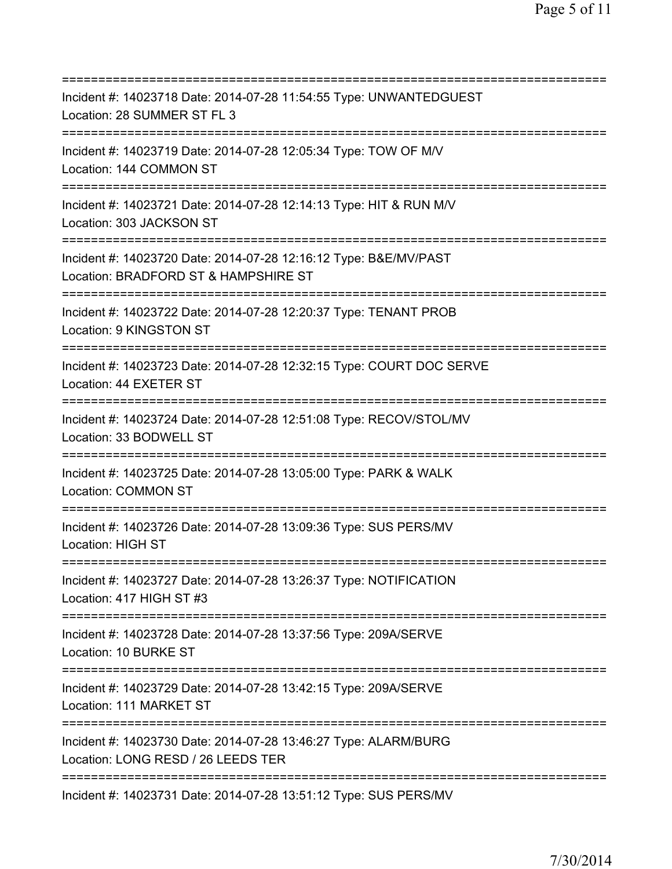=========================================================================== Incident #: 14023718 Date: 2014-07-28 11:54:55 Type: UNWANTEDGUEST Location: 28 SUMMER ST FL 3 =========================================================================== Incident #: 14023719 Date: 2014-07-28 12:05:34 Type: TOW OF M/V Location: 144 COMMON ST =========================================================================== Incident #: 14023721 Date: 2014-07-28 12:14:13 Type: HIT & RUN M/V Location: 303 JACKSON ST =========================================================================== Incident #: 14023720 Date: 2014-07-28 12:16:12 Type: B&E/MV/PAST Location: BRADFORD ST & HAMPSHIRE ST =========================================================================== Incident #: 14023722 Date: 2014-07-28 12:20:37 Type: TENANT PROB Location: 9 KINGSTON ST =========================================================================== Incident #: 14023723 Date: 2014-07-28 12:32:15 Type: COURT DOC SERVE Location: 44 EXETER ST =========================================================================== Incident #: 14023724 Date: 2014-07-28 12:51:08 Type: RECOV/STOL/MV Location: 33 BODWELL ST =========================================================================== Incident #: 14023725 Date: 2014-07-28 13:05:00 Type: PARK & WALK Location: COMMON ST =========================================================================== Incident #: 14023726 Date: 2014-07-28 13:09:36 Type: SUS PERS/MV Location: HIGH ST =========================================================================== Incident #: 14023727 Date: 2014-07-28 13:26:37 Type: NOTIFICATION Location: 417 HIGH ST #3 =========================================================================== Incident #: 14023728 Date: 2014-07-28 13:37:56 Type: 209A/SERVE Location: 10 BURKE ST =========================================================================== Incident #: 14023729 Date: 2014-07-28 13:42:15 Type: 209A/SERVE Location: 111 MARKET ST =========================================================================== Incident #: 14023730 Date: 2014-07-28 13:46:27 Type: ALARM/BURG Location: LONG RESD / 26 LEEDS TER =========================================================================== Incident #: 14023731 Date: 2014-07-28 13:51:12 Type: SUS PERS/MV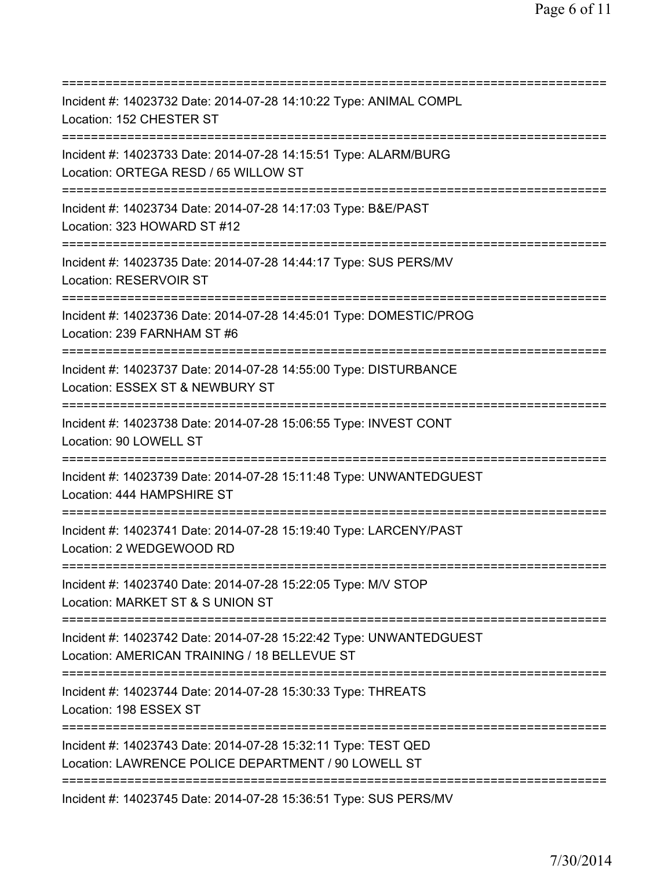| ===========================                                                                                                                                   |
|---------------------------------------------------------------------------------------------------------------------------------------------------------------|
| Incident #: 14023732 Date: 2014-07-28 14:10:22 Type: ANIMAL COMPL<br>Location: 152 CHESTER ST                                                                 |
| Incident #: 14023733 Date: 2014-07-28 14:15:51 Type: ALARM/BURG<br>Location: ORTEGA RESD / 65 WILLOW ST                                                       |
| Incident #: 14023734 Date: 2014-07-28 14:17:03 Type: B&E/PAST<br>Location: 323 HOWARD ST #12<br>=======================                                       |
| Incident #: 14023735 Date: 2014-07-28 14:44:17 Type: SUS PERS/MV<br>Location: RESERVOIR ST                                                                    |
| Incident #: 14023736 Date: 2014-07-28 14:45:01 Type: DOMESTIC/PROG<br>Location: 239 FARNHAM ST #6<br>=====================================                    |
| Incident #: 14023737 Date: 2014-07-28 14:55:00 Type: DISTURBANCE<br>Location: ESSEX ST & NEWBURY ST<br>=====================                                  |
| Incident #: 14023738 Date: 2014-07-28 15:06:55 Type: INVEST CONT<br>Location: 90 LOWELL ST                                                                    |
| Incident #: 14023739 Date: 2014-07-28 15:11:48 Type: UNWANTEDGUEST<br>Location: 444 HAMPSHIRE ST                                                              |
| Incident #: 14023741 Date: 2014-07-28 15:19:40 Type: LARCENY/PAST<br>Location: 2 WEDGEWOOD RD                                                                 |
| Incident #: 14023740 Date: 2014-07-28 15:22:05 Type: M/V STOP<br>Location: MARKET ST & S UNION ST                                                             |
| Incident #: 14023742 Date: 2014-07-28 15:22:42 Type: UNWANTEDGUEST<br>Location: AMERICAN TRAINING / 18 BELLEVUE ST                                            |
| Incident #: 14023744 Date: 2014-07-28 15:30:33 Type: THREATS<br>Location: 198 ESSEX ST                                                                        |
| =====================================<br>Incident #: 14023743 Date: 2014-07-28 15:32:11 Type: TEST QED<br>Location: LAWRENCE POLICE DEPARTMENT / 90 LOWELL ST |
| ==============================<br>Incident #: 14023745 Date: 2014-07-28 15:36:51 Type: SUS PERS/MV                                                            |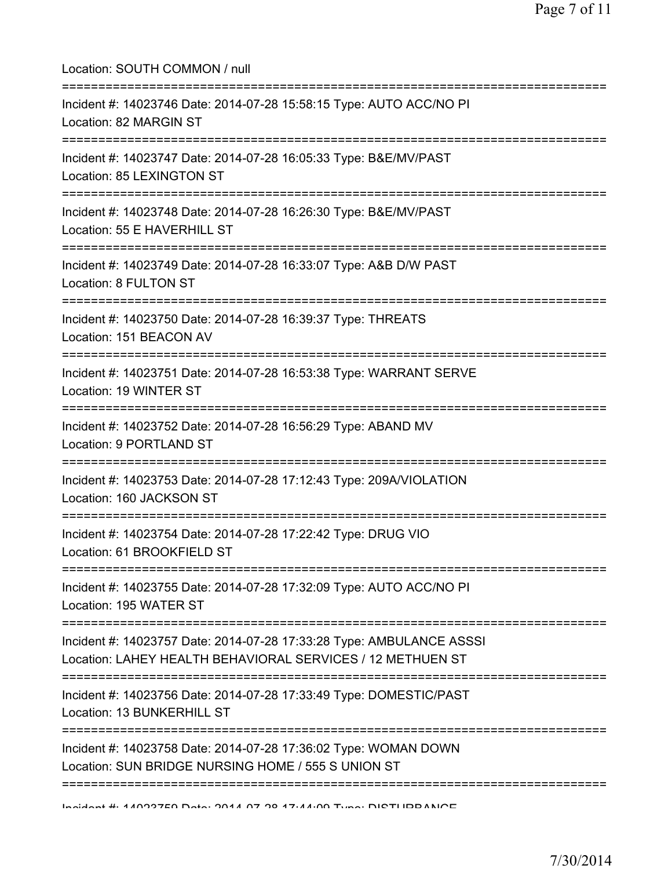| Location: SOUTH COMMON / null                                                                                                         |
|---------------------------------------------------------------------------------------------------------------------------------------|
| Incident #: 14023746 Date: 2014-07-28 15:58:15 Type: AUTO ACC/NO PI<br>Location: 82 MARGIN ST                                         |
| Incident #: 14023747 Date: 2014-07-28 16:05:33 Type: B&E/MV/PAST<br>Location: 85 LEXINGTON ST                                         |
| Incident #: 14023748 Date: 2014-07-28 16:26:30 Type: B&E/MV/PAST<br>Location: 55 E HAVERHILL ST                                       |
| Incident #: 14023749 Date: 2014-07-28 16:33:07 Type: A&B D/W PAST<br>Location: 8 FULTON ST                                            |
| Incident #: 14023750 Date: 2014-07-28 16:39:37 Type: THREATS<br>Location: 151 BEACON AV                                               |
| Incident #: 14023751 Date: 2014-07-28 16:53:38 Type: WARRANT SERVE<br>Location: 19 WINTER ST                                          |
| Incident #: 14023752 Date: 2014-07-28 16:56:29 Type: ABAND MV<br>Location: 9 PORTLAND ST                                              |
| Incident #: 14023753 Date: 2014-07-28 17:12:43 Type: 209A/VIOLATION<br>Location: 160 JACKSON ST                                       |
| ======================================<br>Incident #: 14023754 Date: 2014-07-28 17:22:42 Type: DRUG VIO<br>Location: 61 BROOKFIELD ST |
| Incident #: 14023755 Date: 2014-07-28 17:32:09 Type: AUTO ACC/NO PI<br>Location: 195 WATER ST                                         |
| Incident #: 14023757 Date: 2014-07-28 17:33:28 Type: AMBULANCE ASSSI<br>Location: LAHEY HEALTH BEHAVIORAL SERVICES / 12 METHUEN ST    |
| Incident #: 14023756 Date: 2014-07-28 17:33:49 Type: DOMESTIC/PAST<br>Location: 13 BUNKERHILL ST                                      |
| Incident #: 14023758 Date: 2014-07-28 17:36:02 Type: WOMAN DOWN<br>Location: SUN BRIDGE NURSING HOME / 555 S UNION ST                 |
|                                                                                                                                       |

Incident #: 14023759 Date: 2014 07 28 17:44:09 Type: DISTURBANCE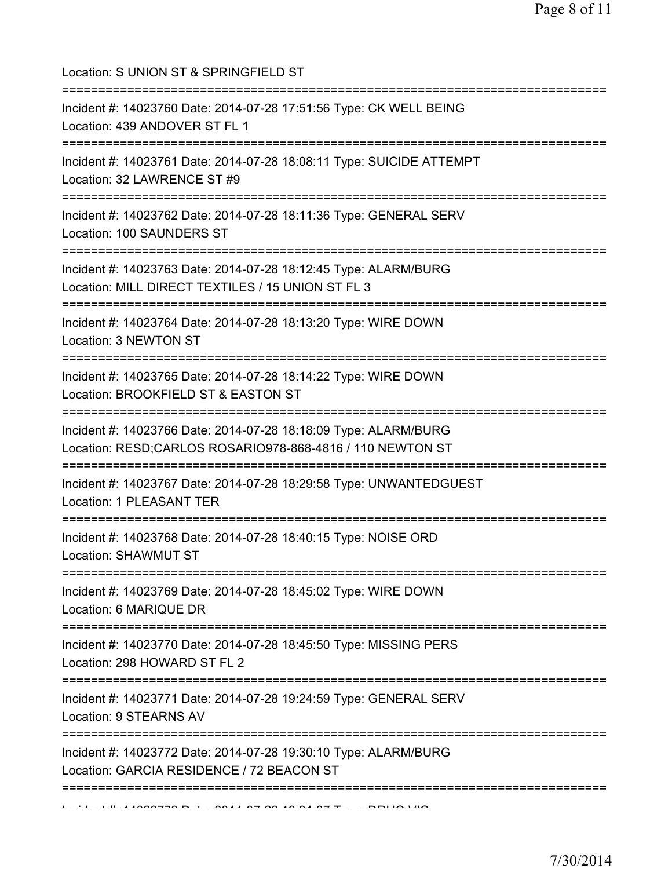Location: S UNION ST & SPRINGFIELD ST =========================================================================== Incident #: 14023760 Date: 2014-07-28 17:51:56 Type: CK WELL BEING Location: 439 ANDOVER ST FL 1 =========================================================================== Incident #: 14023761 Date: 2014-07-28 18:08:11 Type: SUICIDE ATTEMPT Location: 32 LAWRENCE ST #9 =========================================================================== Incident #: 14023762 Date: 2014-07-28 18:11:36 Type: GENERAL SERV Location: 100 SAUNDERS ST =========================================================================== Incident #: 14023763 Date: 2014-07-28 18:12:45 Type: ALARM/BURG Location: MILL DIRECT TEXTILES / 15 UNION ST FL 3 =========================================================================== Incident #: 14023764 Date: 2014-07-28 18:13:20 Type: WIRE DOWN Location: 3 NEWTON ST =========================================================================== Incident #: 14023765 Date: 2014-07-28 18:14:22 Type: WIRE DOWN Location: BROOKFIELD ST & EASTON ST =========================================================================== Incident #: 14023766 Date: 2014-07-28 18:18:09 Type: ALARM/BURG Location: RESD;CARLOS ROSARIO978-868-4816 / 110 NEWTON ST =========================================================================== Incident #: 14023767 Date: 2014-07-28 18:29:58 Type: UNWANTEDGUEST Location: 1 PLEASANT TER =========================================================================== Incident #: 14023768 Date: 2014-07-28 18:40:15 Type: NOISE ORD Location: SHAWMUT ST =========================================================================== Incident #: 14023769 Date: 2014-07-28 18:45:02 Type: WIRE DOWN Location: 6 MARIQUE DR =========================================================================== Incident #: 14023770 Date: 2014-07-28 18:45:50 Type: MISSING PERS Location: 298 HOWARD ST FL 2 =========================================================================== Incident #: 14023771 Date: 2014-07-28 19:24:59 Type: GENERAL SERV Location: 9 STEARNS AV =========================================================================== Incident #: 14023772 Date: 2014-07-28 19:30:10 Type: ALARM/BURG Location: GARCIA RESIDENCE / 72 BEACON ST =========================================================================== Incident #: 14023773 Date: 2014 07 28 19:31:37 Type: DRUG VIO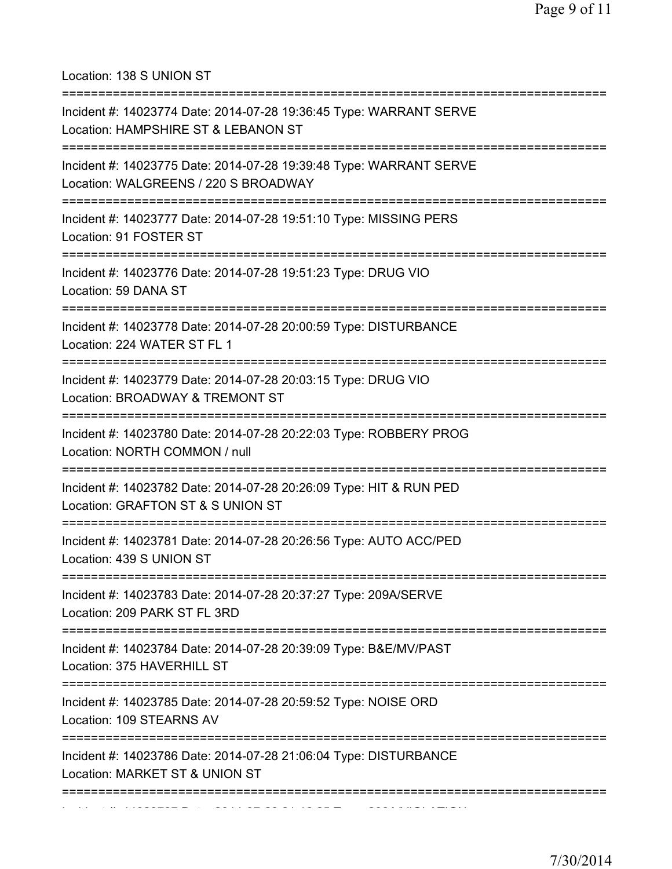Location: 138 S UNION ST

| Incident #: 14023774 Date: 2014-07-28 19:36:45 Type: WARRANT SERVE<br>Location: HAMPSHIRE ST & LEBANON ST<br>;=================================== |
|---------------------------------------------------------------------------------------------------------------------------------------------------|
| Incident #: 14023775 Date: 2014-07-28 19:39:48 Type: WARRANT SERVE<br>Location: WALGREENS / 220 S BROADWAY                                        |
| Incident #: 14023777 Date: 2014-07-28 19:51:10 Type: MISSING PERS<br>Location: 91 FOSTER ST                                                       |
| Incident #: 14023776 Date: 2014-07-28 19:51:23 Type: DRUG VIO<br>Location: 59 DANA ST                                                             |
| Incident #: 14023778 Date: 2014-07-28 20:00:59 Type: DISTURBANCE<br>Location: 224 WATER ST FL 1                                                   |
| Incident #: 14023779 Date: 2014-07-28 20:03:15 Type: DRUG VIO<br>Location: BROADWAY & TREMONT ST<br>-----------                                   |
| Incident #: 14023780 Date: 2014-07-28 20:22:03 Type: ROBBERY PROG<br>Location: NORTH COMMON / null                                                |
| Incident #: 14023782 Date: 2014-07-28 20:26:09 Type: HIT & RUN PED<br>Location: GRAFTON ST & S UNION ST                                           |
| Incident #: 14023781 Date: 2014-07-28 20:26:56 Type: AUTO ACC/PED<br>Location: 439 S UNION ST                                                     |
| ===============================<br>Incident #: 14023783 Date: 2014-07-28 20:37:27 Type: 209A/SERVE<br>Location: 209 PARK ST FL 3RD                |
| Incident #: 14023784 Date: 2014-07-28 20:39:09 Type: B&E/MV/PAST<br>Location: 375 HAVERHILL ST                                                    |
| Incident #: 14023785 Date: 2014-07-28 20:59:52 Type: NOISE ORD<br>Location: 109 STEARNS AV                                                        |
| Incident #: 14023786 Date: 2014-07-28 21:06:04 Type: DISTURBANCE<br>Location: MARKET ST & UNION ST                                                |
|                                                                                                                                                   |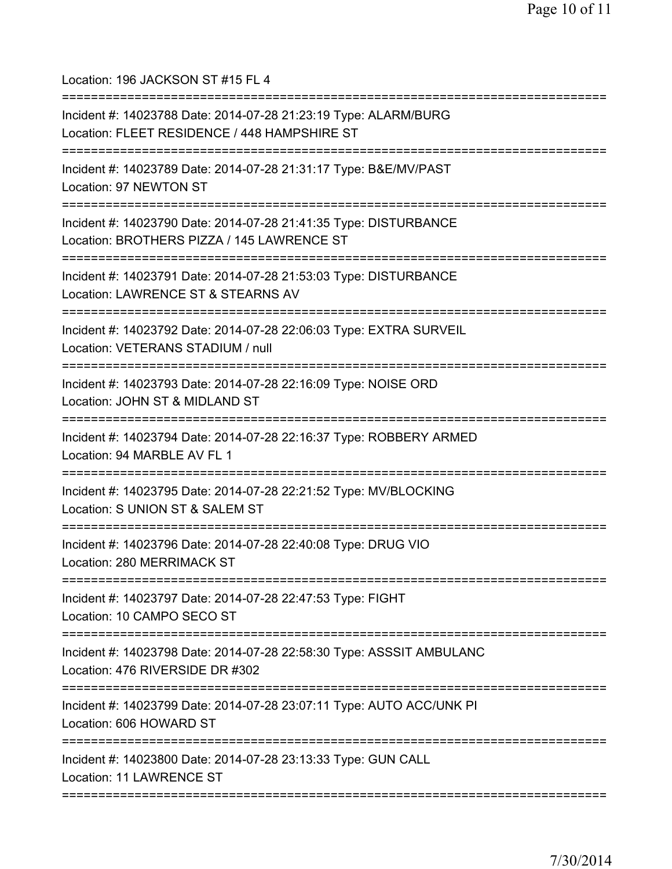Location: 196 JACKSON ST #15 FL 4

| Incident #: 14023788 Date: 2014-07-28 21:23:19 Type: ALARM/BURG<br>Location: FLEET RESIDENCE / 448 HAMPSHIRE ST                    |
|------------------------------------------------------------------------------------------------------------------------------------|
| Incident #: 14023789 Date: 2014-07-28 21:31:17 Type: B&E/MV/PAST<br>Location: 97 NEWTON ST                                         |
| Incident #: 14023790 Date: 2014-07-28 21:41:35 Type: DISTURBANCE<br>Location: BROTHERS PIZZA / 145 LAWRENCE ST                     |
| Incident #: 14023791 Date: 2014-07-28 21:53:03 Type: DISTURBANCE<br>Location: LAWRENCE ST & STEARNS AV                             |
| Incident #: 14023792 Date: 2014-07-28 22:06:03 Type: EXTRA SURVEIL<br>Location: VETERANS STADIUM / null                            |
| Incident #: 14023793 Date: 2014-07-28 22:16:09 Type: NOISE ORD<br>Location: JOHN ST & MIDLAND ST                                   |
| Incident #: 14023794 Date: 2014-07-28 22:16:37 Type: ROBBERY ARMED<br>Location: 94 MARBLE AV FL 1                                  |
| Incident #: 14023795 Date: 2014-07-28 22:21:52 Type: MV/BLOCKING<br>Location: S UNION ST & SALEM ST                                |
| Incident #: 14023796 Date: 2014-07-28 22:40:08 Type: DRUG VIO<br>Location: 280 MERRIMACK ST                                        |
| ======================================<br>Incident #: 14023797 Date: 2014-07-28 22:47:53 Type: FIGHT<br>Location: 10 CAMPO SECO ST |
| Incident #: 14023798 Date: 2014-07-28 22:58:30 Type: ASSSIT AMBULANC<br>Location: 476 RIVERSIDE DR #302                            |
| ==============================<br>Incident #: 14023799 Date: 2014-07-28 23:07:11 Type: AUTO ACC/UNK PI<br>Location: 606 HOWARD ST  |
| Incident #: 14023800 Date: 2014-07-28 23:13:33 Type: GUN CALL<br><b>Location: 11 LAWRENCE ST</b>                                   |
|                                                                                                                                    |